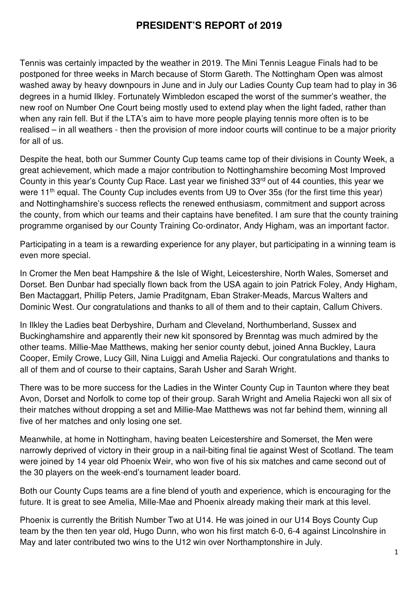## **PRESIDENT'S REPORT of 2019**

Tennis was certainly impacted by the weather in 2019. The Mini Tennis League Finals had to be postponed for three weeks in March because of Storm Gareth. The Nottingham Open was almost washed away by heavy downpours in June and in July our Ladies County Cup team had to play in 36 degrees in a humid Ilkley. Fortunately Wimbledon escaped the worst of the summer's weather, the new roof on Number One Court being mostly used to extend play when the light faded, rather than when any rain fell. But if the LTA's aim to have more people playing tennis more often is to be realised – in all weathers - then the provision of more indoor courts will continue to be a major priority for all of us.

Despite the heat, both our Summer County Cup teams came top of their divisions in County Week, a great achievement, which made a major contribution to Nottinghamshire becoming Most Improved County in this year's County Cup Race. Last year we finished 33rd out of 44 counties, this year we were 11<sup>th</sup> equal. The County Cup includes events from U9 to Over 35s (for the first time this year) and Nottinghamshire's success reflects the renewed enthusiasm, commitment and support across the county, from which our teams and their captains have benefited. I am sure that the county training programme organised by our County Training Co-ordinator, Andy Higham, was an important factor.

Participating in a team is a rewarding experience for any player, but participating in a winning team is even more special.

In Cromer the Men beat Hampshire & the Isle of Wight, Leicestershire, North Wales, Somerset and Dorset. Ben Dunbar had specially flown back from the USA again to join Patrick Foley, Andy Higham, Ben Mactaggart, Phillip Peters, Jamie Praditgnam, Eban Straker-Meads, Marcus Walters and Dominic West. Our congratulations and thanks to all of them and to their captain, Callum Chivers.

In Ilkley the Ladies beat Derbyshire, Durham and Cleveland, Northumberland, Sussex and Buckinghamshire and apparently their new kit sponsored by Brenntag was much admired by the other teams. Millie-Mae Matthews, making her senior county debut, joined Anna Buckley, Laura Cooper, Emily Crowe, Lucy Gill, Nina Luiggi and Amelia Rajecki. Our congratulations and thanks to all of them and of course to their captains, Sarah Usher and Sarah Wright.

There was to be more success for the Ladies in the Winter County Cup in Taunton where they beat Avon, Dorset and Norfolk to come top of their group. Sarah Wright and Amelia Rajecki won all six of their matches without dropping a set and Millie-Mae Matthews was not far behind them, winning all five of her matches and only losing one set.

Meanwhile, at home in Nottingham, having beaten Leicestershire and Somerset, the Men were narrowly deprived of victory in their group in a nail-biting final tie against West of Scotland. The team were joined by 14 year old Phoenix Weir, who won five of his six matches and came second out of the 30 players on the week-end's tournament leader board.

Both our County Cups teams are a fine blend of youth and experience, which is encouraging for the future. It is great to see Amelia, Mille-Mae and Phoenix already making their mark at this level.

Phoenix is currently the British Number Two at U14. He was joined in our U14 Boys County Cup team by the then ten year old, Hugo Dunn, who won his first match 6-0, 6-4 against Lincolnshire in May and later contributed two wins to the U12 win over Northamptonshire in July.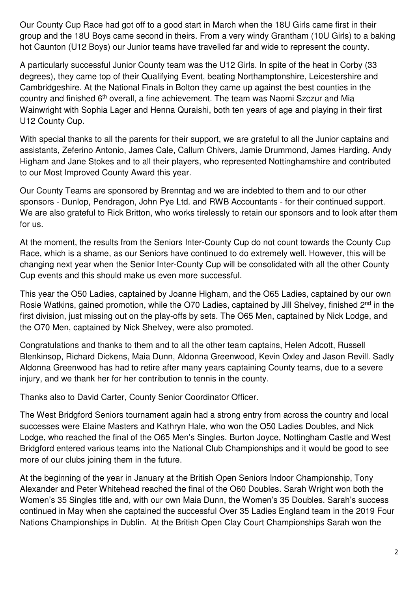Our County Cup Race had got off to a good start in March when the 18U Girls came first in their group and the 18U Boys came second in theirs. From a very windy Grantham (10U Girls) to a baking hot Caunton (U12 Boys) our Junior teams have travelled far and wide to represent the county.

A particularly successful Junior County team was the U12 Girls. In spite of the heat in Corby (33 degrees), they came top of their Qualifying Event, beating Northamptonshire, Leicestershire and Cambridgeshire. At the National Finals in Bolton they came up against the best counties in the country and finished 6<sup>th</sup> overall, a fine achievement. The team was Naomi Szczur and Mia Wainwright with Sophia Lager and Henna Quraishi, both ten years of age and playing in their first U12 County Cup.

With special thanks to all the parents for their support, we are grateful to all the Junior captains and assistants, Zeferino Antonio, James Cale, Callum Chivers, Jamie Drummond, James Harding, Andy Higham and Jane Stokes and to all their players, who represented Nottinghamshire and contributed to our Most Improved County Award this year.

Our County Teams are sponsored by Brenntag and we are indebted to them and to our other sponsors - Dunlop, Pendragon, John Pye Ltd. and RWB Accountants - for their continued support. We are also grateful to Rick Britton, who works tirelessly to retain our sponsors and to look after them for us.

At the moment, the results from the Seniors Inter-County Cup do not count towards the County Cup Race, which is a shame, as our Seniors have continued to do extremely well. However, this will be changing next year when the Senior Inter-County Cup will be consolidated with all the other County Cup events and this should make us even more successful.

This year the O50 Ladies, captained by Joanne Higham, and the O65 Ladies, captained by our own Rosie Watkins, gained promotion, while the O70 Ladies, captained by Jill Shelvey, finished 2<sup>nd</sup> in the first division, just missing out on the play-offs by sets. The O65 Men, captained by Nick Lodge, and the O70 Men, captained by Nick Shelvey, were also promoted.

Congratulations and thanks to them and to all the other team captains, Helen Adcott, Russell Blenkinsop, Richard Dickens, Maia Dunn, Aldonna Greenwood, Kevin Oxley and Jason Revill. Sadly Aldonna Greenwood has had to retire after many years captaining County teams, due to a severe injury, and we thank her for her contribution to tennis in the county.

Thanks also to David Carter, County Senior Coordinator Officer.

The West Bridgford Seniors tournament again had a strong entry from across the country and local successes were Elaine Masters and Kathryn Hale, who won the O50 Ladies Doubles, and Nick Lodge, who reached the final of the O65 Men's Singles. Burton Joyce, Nottingham Castle and West Bridgford entered various teams into the National Club Championships and it would be good to see more of our clubs joining them in the future.

At the beginning of the year in January at the British Open Seniors Indoor Championship, Tony Alexander and Peter Whitehead reached the final of the O60 Doubles. Sarah Wright won both the Women's 35 Singles title and, with our own Maia Dunn, the Women's 35 Doubles. Sarah's success continued in May when she captained the successful Over 35 Ladies England team in the 2019 Four Nations Championships in Dublin. At the British Open Clay Court Championships Sarah won the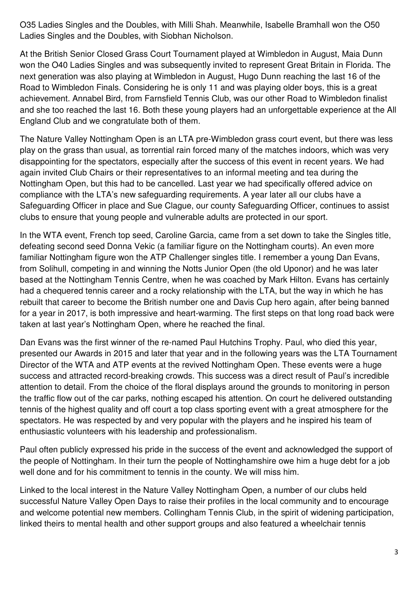O35 Ladies Singles and the Doubles, with Milli Shah. Meanwhile, Isabelle Bramhall won the O50 Ladies Singles and the Doubles, with Siobhan Nicholson.

At the British Senior Closed Grass Court Tournament played at Wimbledon in August, Maia Dunn won the O40 Ladies Singles and was subsequently invited to represent Great Britain in Florida. The next generation was also playing at Wimbledon in August, Hugo Dunn reaching the last 16 of the Road to Wimbledon Finals. Considering he is only 11 and was playing older boys, this is a great achievement. Annabel Bird, from Farnsfield Tennis Club, was our other Road to Wimbledon finalist and she too reached the last 16. Both these young players had an unforgettable experience at the All England Club and we congratulate both of them.

The Nature Valley Nottingham Open is an LTA pre-Wimbledon grass court event, but there was less play on the grass than usual, as torrential rain forced many of the matches indoors, which was very disappointing for the spectators, especially after the success of this event in recent years. We had again invited Club Chairs or their representatives to an informal meeting and tea during the Nottingham Open, but this had to be cancelled. Last year we had specifically offered advice on compliance with the LTA's new safeguarding requirements. A year later all our clubs have a Safeguarding Officer in place and Sue Clague, our county Safeguarding Officer, continues to assist clubs to ensure that young people and vulnerable adults are protected in our sport.

In the WTA event, French top seed, Caroline Garcia, came from a set down to take the Singles title, defeating second seed Donna Vekic (a familiar figure on the Nottingham courts). An even more familiar Nottingham figure won the ATP Challenger singles title. I remember a young Dan Evans, from Solihull, competing in and winning the Notts Junior Open (the old Uponor) and he was later based at the Nottingham Tennis Centre, when he was coached by Mark Hilton. Evans has certainly had a chequered tennis career and a rocky relationship with the LTA, but the way in which he has rebuilt that career to become the British number one and Davis Cup hero again, after being banned for a year in 2017, is both impressive and heart-warming. The first steps on that long road back were taken at last year's Nottingham Open, where he reached the final.

Dan Evans was the first winner of the re-named Paul Hutchins Trophy. Paul, who died this year, presented our Awards in 2015 and later that year and in the following years was the LTA Tournament Director of the WTA and ATP events at the revived Nottingham Open. These events were a huge success and attracted record-breaking crowds. This success was a direct result of Paul's incredible attention to detail. From the choice of the floral displays around the grounds to monitoring in person the traffic flow out of the car parks, nothing escaped his attention. On court he delivered outstanding tennis of the highest quality and off court a top class sporting event with a great atmosphere for the spectators. He was respected by and very popular with the players and he inspired his team of enthusiastic volunteers with his leadership and professionalism.

Paul often publicly expressed his pride in the success of the event and acknowledged the support of the people of Nottingham. In their turn the people of Nottinghamshire owe him a huge debt for a job well done and for his commitment to tennis in the county. We will miss him.

Linked to the local interest in the Nature Valley Nottingham Open, a number of our clubs held successful Nature Valley Open Days to raise their profiles in the local community and to encourage and welcome potential new members. Collingham Tennis Club, in the spirit of widening participation, linked theirs to mental health and other support groups and also featured a wheelchair tennis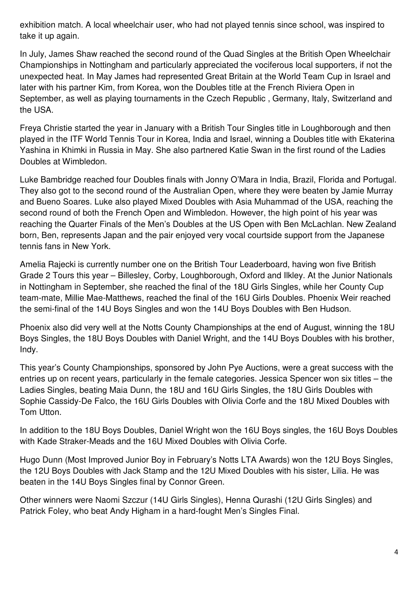exhibition match. A local wheelchair user, who had not played tennis since school, was inspired to take it up again.

In July, James Shaw reached the second round of the Quad Singles at the British Open Wheelchair Championships in Nottingham and particularly appreciated the vociferous local supporters, if not the unexpected heat. In May James had represented Great Britain at the World Team Cup in Israel and later with his partner Kim, from Korea, won the Doubles title at the French Riviera Open in September, as well as playing tournaments in the Czech Republic , Germany, Italy, Switzerland and the USA.

Freya Christie started the year in January with a British Tour Singles title in Loughborough and then played in the ITF World Tennis Tour in Korea, India and Israel, winning a Doubles title with Ekaterina Yashina in Khimki in Russia in May. She also partnered Katie Swan in the first round of the Ladies Doubles at Wimbledon.

Luke Bambridge reached four Doubles finals with Jonny O'Mara in India, Brazil, Florida and Portugal. They also got to the second round of the Australian Open, where they were beaten by Jamie Murray and Bueno Soares. Luke also played Mixed Doubles with Asia Muhammad of the USA, reaching the second round of both the French Open and Wimbledon. However, the high point of his year was reaching the Quarter Finals of the Men's Doubles at the US Open with Ben McLachlan. New Zealand born, Ben, represents Japan and the pair enjoyed very vocal courtside support from the Japanese tennis fans in New York.

Amelia Rajecki is currently number one on the British Tour Leaderboard, having won five British Grade 2 Tours this year – Billesley, Corby, Loughborough, Oxford and Ilkley. At the Junior Nationals in Nottingham in September, she reached the final of the 18U Girls Singles, while her County Cup team-mate, Millie Mae-Matthews, reached the final of the 16U Girls Doubles. Phoenix Weir reached the semi-final of the 14U Boys Singles and won the 14U Boys Doubles with Ben Hudson.

Phoenix also did very well at the Notts County Championships at the end of August, winning the 18U Boys Singles, the 18U Boys Doubles with Daniel Wright, and the 14U Boys Doubles with his brother, Indy.

This year's County Championships, sponsored by John Pye Auctions, were a great success with the entries up on recent years, particularly in the female categories. Jessica Spencer won six titles – the Ladies Singles, beating Maia Dunn, the 18U and 16U Girls Singles, the 18U Girls Doubles with Sophie Cassidy-De Falco, the 16U Girls Doubles with Olivia Corfe and the 18U Mixed Doubles with Tom Utton.

In addition to the 18U Boys Doubles, Daniel Wright won the 16U Boys singles, the 16U Boys Doubles with Kade Straker-Meads and the 16U Mixed Doubles with Olivia Corfe.

Hugo Dunn (Most Improved Junior Boy in February's Notts LTA Awards) won the 12U Boys Singles, the 12U Boys Doubles with Jack Stamp and the 12U Mixed Doubles with his sister, Lilia. He was beaten in the 14U Boys Singles final by Connor Green.

Other winners were Naomi Szczur (14U Girls Singles), Henna Qurashi (12U Girls Singles) and Patrick Foley, who beat Andy Higham in a hard-fought Men's Singles Final.